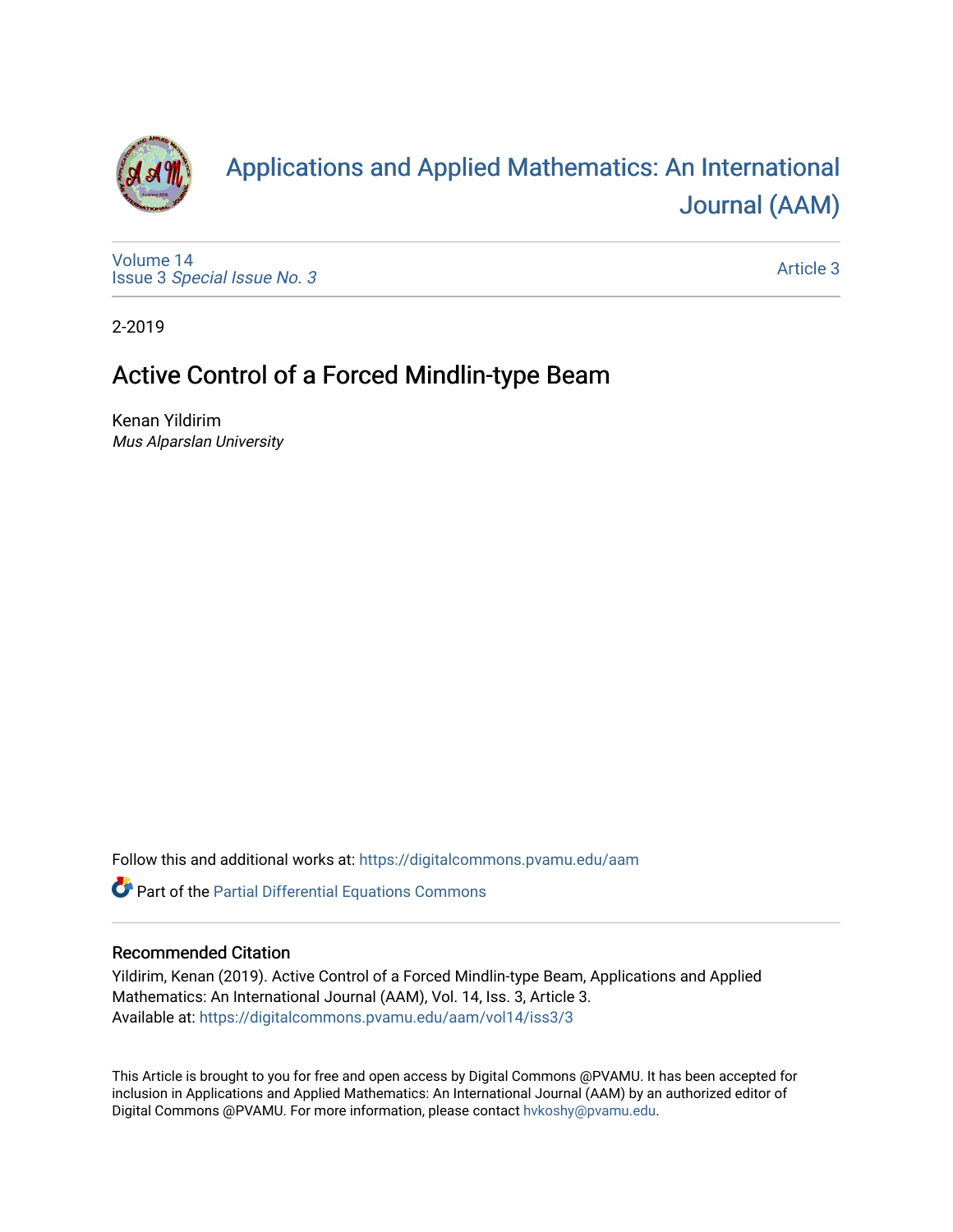

# [Applications and Applied Mathematics: An International](https://digitalcommons.pvamu.edu/aam)  [Journal \(AAM\)](https://digitalcommons.pvamu.edu/aam)

[Volume 14](https://digitalcommons.pvamu.edu/aam/vol14) Issue 3 [Special Issue No. 3](https://digitalcommons.pvamu.edu/aam/vol14/iss3)

[Article 3](https://digitalcommons.pvamu.edu/aam/vol14/iss3/3) 

2-2019

## Active Control of a Forced Mindlin-type Beam

Kenan Yildirim Mus Alparslan University

Follow this and additional works at: [https://digitalcommons.pvamu.edu/aam](https://digitalcommons.pvamu.edu/aam?utm_source=digitalcommons.pvamu.edu%2Faam%2Fvol14%2Fiss3%2F3&utm_medium=PDF&utm_campaign=PDFCoverPages) 

Part of the [Partial Differential Equations Commons](http://network.bepress.com/hgg/discipline/120?utm_source=digitalcommons.pvamu.edu%2Faam%2Fvol14%2Fiss3%2F3&utm_medium=PDF&utm_campaign=PDFCoverPages) 

## Recommended Citation

Yildirim, Kenan (2019). Active Control of a Forced Mindlin-type Beam, Applications and Applied Mathematics: An International Journal (AAM), Vol. 14, Iss. 3, Article 3. Available at: [https://digitalcommons.pvamu.edu/aam/vol14/iss3/3](https://digitalcommons.pvamu.edu/aam/vol14/iss3/3?utm_source=digitalcommons.pvamu.edu%2Faam%2Fvol14%2Fiss3%2F3&utm_medium=PDF&utm_campaign=PDFCoverPages) 

This Article is brought to you for free and open access by Digital Commons @PVAMU. It has been accepted for inclusion in Applications and Applied Mathematics: An International Journal (AAM) by an authorized editor of Digital Commons @PVAMU. For more information, please contact [hvkoshy@pvamu.edu.](mailto:hvkoshy@pvamu.edu)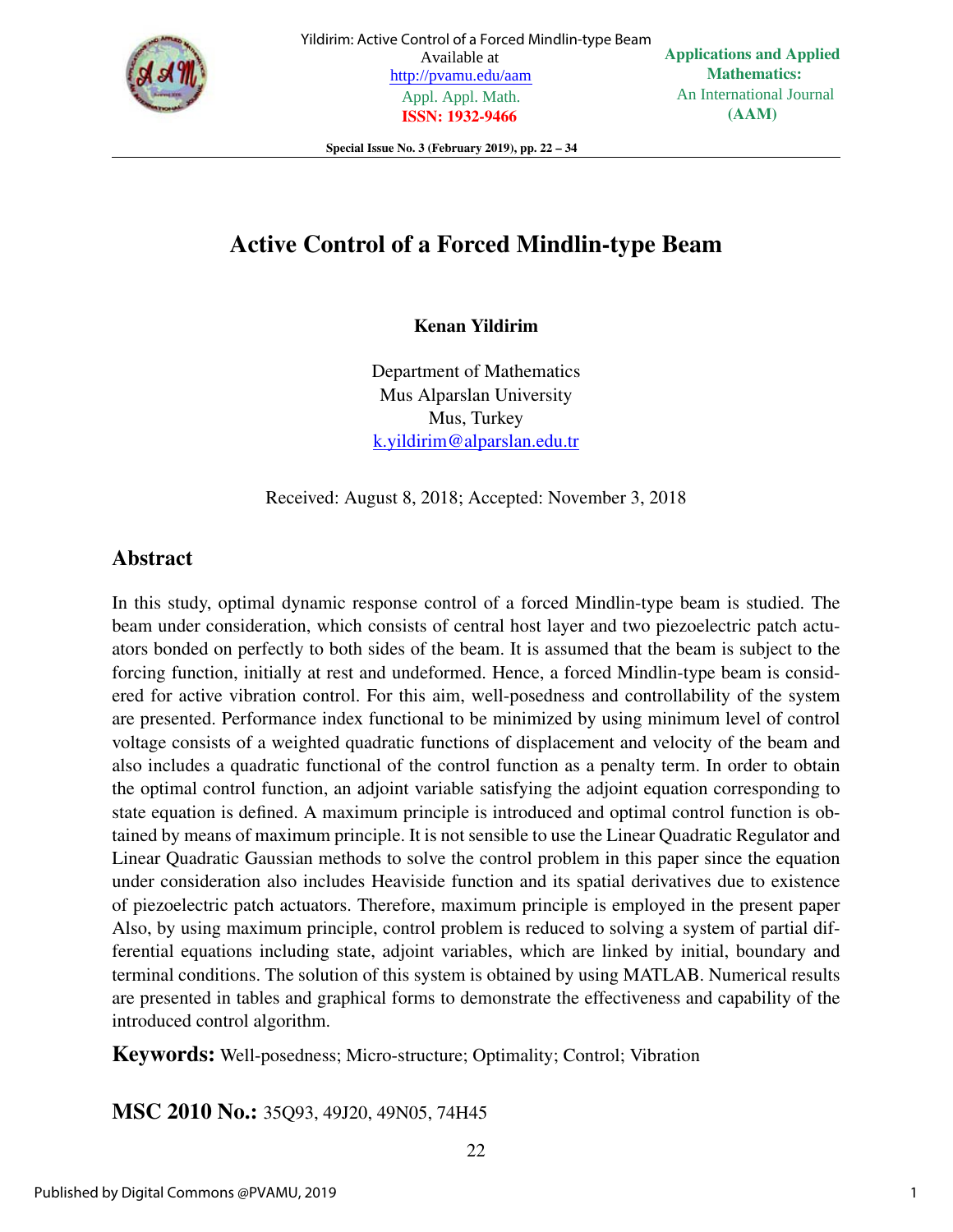

Special Issue No. 3 (February 2019), pp. 22 – 34

## Active Control of a Forced Mindlin-type Beam

Kenan Yildirim

Department of Mathematics Mus Alparslan University Mus, Turkey k.yildirim@alparslan.edu.tr

Received: August 8, 2018; Accepted: November 3, 2018

## Abstract

In this study, optimal dynamic response control of a forced Mindlin-type beam is studied. The beam under consideration, which consists of central host layer and two piezoelectric patch actuators bonded on perfectly to both sides of the beam. It is assumed that the beam is subject to the forcing function, initially at rest and undeformed. Hence, a forced Mindlin-type beam is considered for active vibration control. For this aim, well-posedness and controllability of the system are presented. Performance index functional to be minimized by using minimum level of control voltage consists of a weighted quadratic functions of displacement and velocity of the beam and also includes a quadratic functional of the control function as a penalty term. In order to obtain the optimal control function, an adjoint variable satisfying the adjoint equation corresponding to state equation is defined. A maximum principle is introduced and optimal control function is obtained by means of maximum principle. It is not sensible to use the Linear Quadratic Regulator and Linear Quadratic Gaussian methods to solve the control problem in this paper since the equation under consideration also includes Heaviside function and its spatial derivatives due to existence of piezoelectric patch actuators. Therefore, maximum principle is employed in the present paper Also, by using maximum principle, control problem is reduced to solving a system of partial differential equations including state, adjoint variables, which are linked by initial, boundary and terminal conditions. The solution of this system is obtained by using MATLAB. Numerical results are presented in tables and graphical forms to demonstrate the effectiveness and capability of the introduced control algorithm.

Keywords: Well-posedness; Micro-structure; Optimality; Control; Vibration

MSC 2010 No.: 35Q93, 49J20, 49N05, 74H45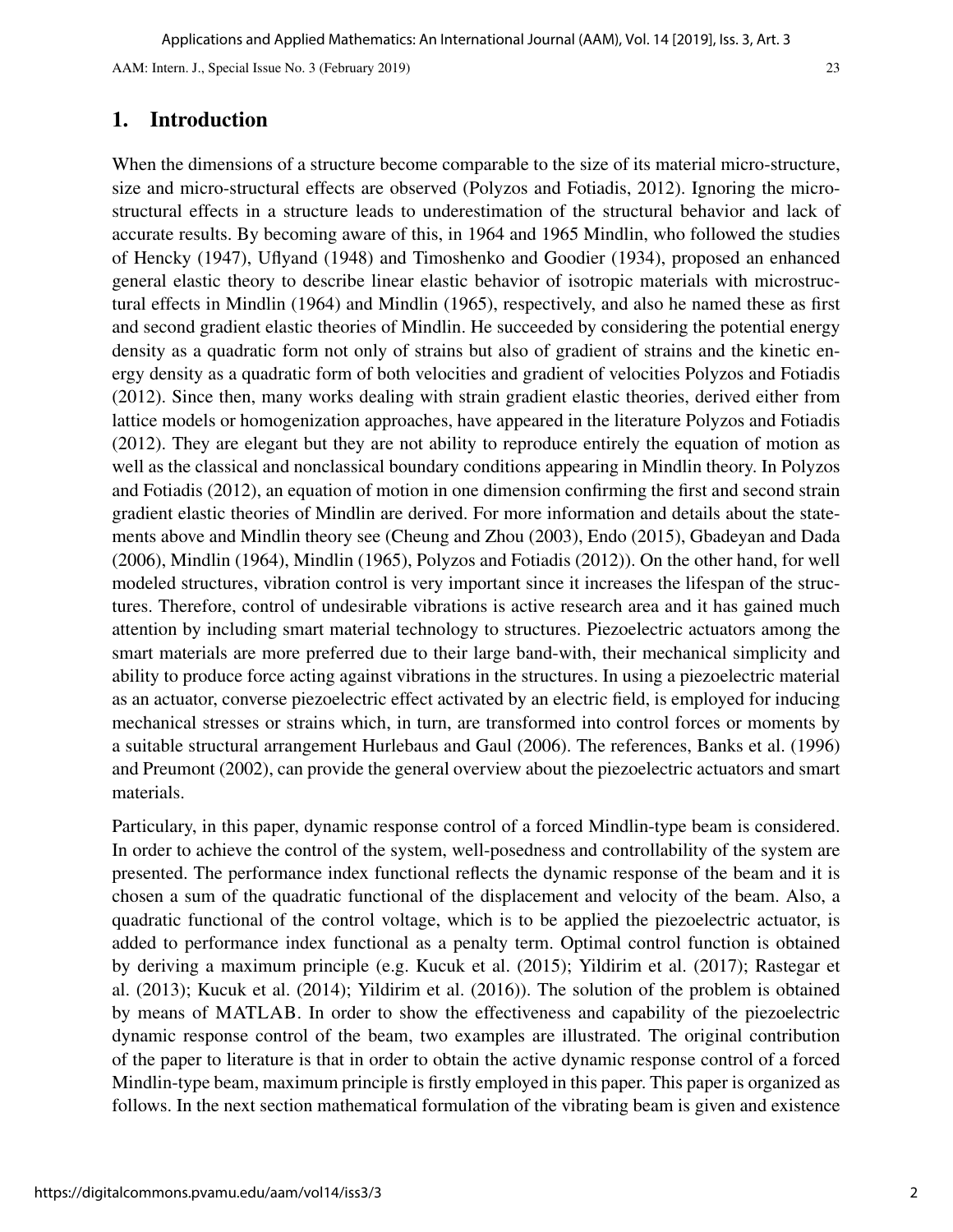## 1. Introduction

When the dimensions of a structure become comparable to the size of its material micro-structure, size and micro-structural effects are observed (Polyzos and Fotiadis, 2012). Ignoring the microstructural effects in a structure leads to underestimation of the structural behavior and lack of accurate results. By becoming aware of this, in 1964 and 1965 Mindlin, who followed the studies of Hencky (1947), Uflyand (1948) and Timoshenko and Goodier (1934), proposed an enhanced general elastic theory to describe linear elastic behavior of isotropic materials with microstructural effects in Mindlin (1964) and Mindlin (1965), respectively, and also he named these as first and second gradient elastic theories of Mindlin. He succeeded by considering the potential energy density as a quadratic form not only of strains but also of gradient of strains and the kinetic energy density as a quadratic form of both velocities and gradient of velocities Polyzos and Fotiadis (2012). Since then, many works dealing with strain gradient elastic theories, derived either from lattice models or homogenization approaches, have appeared in the literature Polyzos and Fotiadis (2012). They are elegant but they are not ability to reproduce entirely the equation of motion as well as the classical and nonclassical boundary conditions appearing in Mindlin theory. In Polyzos and Fotiadis (2012), an equation of motion in one dimension confirming the first and second strain gradient elastic theories of Mindlin are derived. For more information and details about the statements above and Mindlin theory see (Cheung and Zhou (2003), Endo (2015), Gbadeyan and Dada (2006), Mindlin (1964), Mindlin (1965), Polyzos and Fotiadis (2012)). On the other hand, for well modeled structures, vibration control is very important since it increases the lifespan of the structures. Therefore, control of undesirable vibrations is active research area and it has gained much attention by including smart material technology to structures. Piezoelectric actuators among the smart materials are more preferred due to their large band-with, their mechanical simplicity and ability to produce force acting against vibrations in the structures. In using a piezoelectric material as an actuator, converse piezoelectric effect activated by an electric field, is employed for inducing mechanical stresses or strains which, in turn, are transformed into control forces or moments by a suitable structural arrangement Hurlebaus and Gaul (2006). The references, Banks et al. (1996) and Preumont (2002), can provide the general overview about the piezoelectric actuators and smart materials.

Particulary, in this paper, dynamic response control of a forced Mindlin-type beam is considered. In order to achieve the control of the system, well-posedness and controllability of the system are presented. The performance index functional reflects the dynamic response of the beam and it is chosen a sum of the quadratic functional of the displacement and velocity of the beam. Also, a quadratic functional of the control voltage, which is to be applied the piezoelectric actuator, is added to performance index functional as a penalty term. Optimal control function is obtained by deriving a maximum principle (e.g. Kucuk et al. (2015); Yildirim et al. (2017); Rastegar et al. (2013); Kucuk et al. (2014); Yildirim et al. (2016)). The solution of the problem is obtained by means of MATLAB. In order to show the effectiveness and capability of the piezoelectric dynamic response control of the beam, two examples are illustrated. The original contribution of the paper to literature is that in order to obtain the active dynamic response control of a forced Mindlin-type beam, maximum principle is firstly employed in this paper. This paper is organized as follows. In the next section mathematical formulation of the vibrating beam is given and existence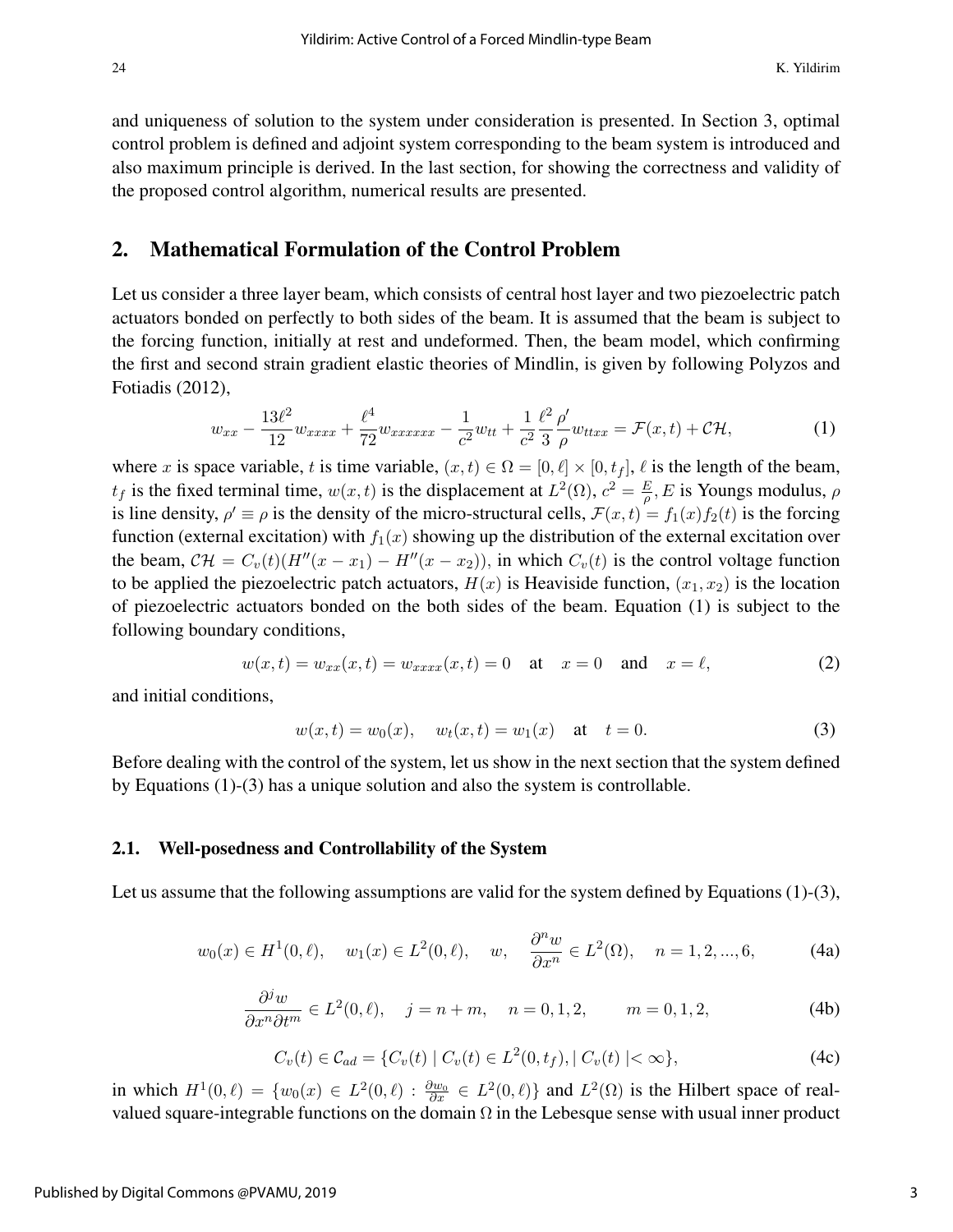and uniqueness of solution to the system under consideration is presented. In Section 3, optimal control problem is defined and adjoint system corresponding to the beam system is introduced and also maximum principle is derived. In the last section, for showing the correctness and validity of the proposed control algorithm, numerical results are presented.

## 2. Mathematical Formulation of the Control Problem

Let us consider a three layer beam, which consists of central host layer and two piezoelectric patch actuators bonded on perfectly to both sides of the beam. It is assumed that the beam is subject to the forcing function, initially at rest and undeformed. Then, the beam model, which confirming the first and second strain gradient elastic theories of Mindlin, is given by following Polyzos and Fotiadis (2012),

$$
w_{xx} - \frac{13\ell^2}{12} w_{xxxx} + \frac{\ell^4}{72} w_{xxxxxx} - \frac{1}{c^2} w_{tt} + \frac{1}{c^2} \frac{\ell^2}{3} \frac{\rho'}{\rho} w_{txxx} = \mathcal{F}(x, t) + \mathcal{CH},\tag{1}
$$

where x is space variable, t is time variable,  $(x, t) \in \Omega = [0, \ell] \times [0, t_f]$ ,  $\ell$  is the length of the beam,  $t_f$  is the fixed terminal time,  $w(x,t)$  is the displacement at  $L^2(\Omega)$ ,  $c^2 = \frac{E}{\rho}$  $\frac{E}{\rho}$ , *E* is Youngs modulus,  $\rho$ is line density,  $\rho' \equiv \rho$  is the density of the micro-structural cells,  $\mathcal{F}(x,t) = f_1(x)f_2(t)$  is the forcing function (external excitation) with  $f_1(x)$  showing up the distribution of the external excitation over the beam,  $\mathcal{CH} = C_v(t)(H''(x - x_1) - H''(x - x_2))$ , in which  $C_v(t)$  is the control voltage function to be applied the piezoelectric patch actuators,  $H(x)$  is Heaviside function,  $(x_1, x_2)$  is the location of piezoelectric actuators bonded on the both sides of the beam. Equation (1) is subject to the following boundary conditions,

$$
w(x,t) = w_{xx}(x,t) = w_{xxxx}(x,t) = 0
$$
 at  $x = 0$  and  $x = \ell$ , (2)

and initial conditions,

$$
w(x,t) = w_0(x), \quad w_t(x,t) = w_1(x) \quad \text{at} \quad t = 0. \tag{3}
$$

Before dealing with the control of the system, let us show in the next section that the system defined by Equations (1)-(3) has a unique solution and also the system is controllable.

#### 2.1. Well-posedness and Controllability of the System

Let us assume that the following assumptions are valid for the system defined by Equations  $(1)-(3)$ ,

$$
w_0(x) \in H^1(0, \ell), \quad w_1(x) \in L^2(0, \ell), \quad w, \quad \frac{\partial^n w}{\partial x^n} \in L^2(\Omega), \quad n = 1, 2, ..., 6,
$$
 (4a)

$$
\frac{\partial^j w}{\partial x^n \partial t^m} \in L^2(0, \ell), \quad j = n + m, \quad n = 0, 1, 2, \qquad m = 0, 1, 2,
$$
\n(4b)

$$
C_v(t) \in \mathcal{C}_{ad} = \{ C_v(t) \mid C_v(t) \in L^2(0, t_f), \mid C_v(t) \mid < \infty \},\tag{4c}
$$

in which  $H^1(0,\ell) = \{w_0(x) \in L^2(0,\ell) : \frac{\partial w_0}{\partial x} \in L^2(0,\ell)\}\$  and  $L^2(\Omega)$  is the Hilbert space of realvalued square-integrable functions on the domain  $\Omega$  in the Lebesque sense with usual inner product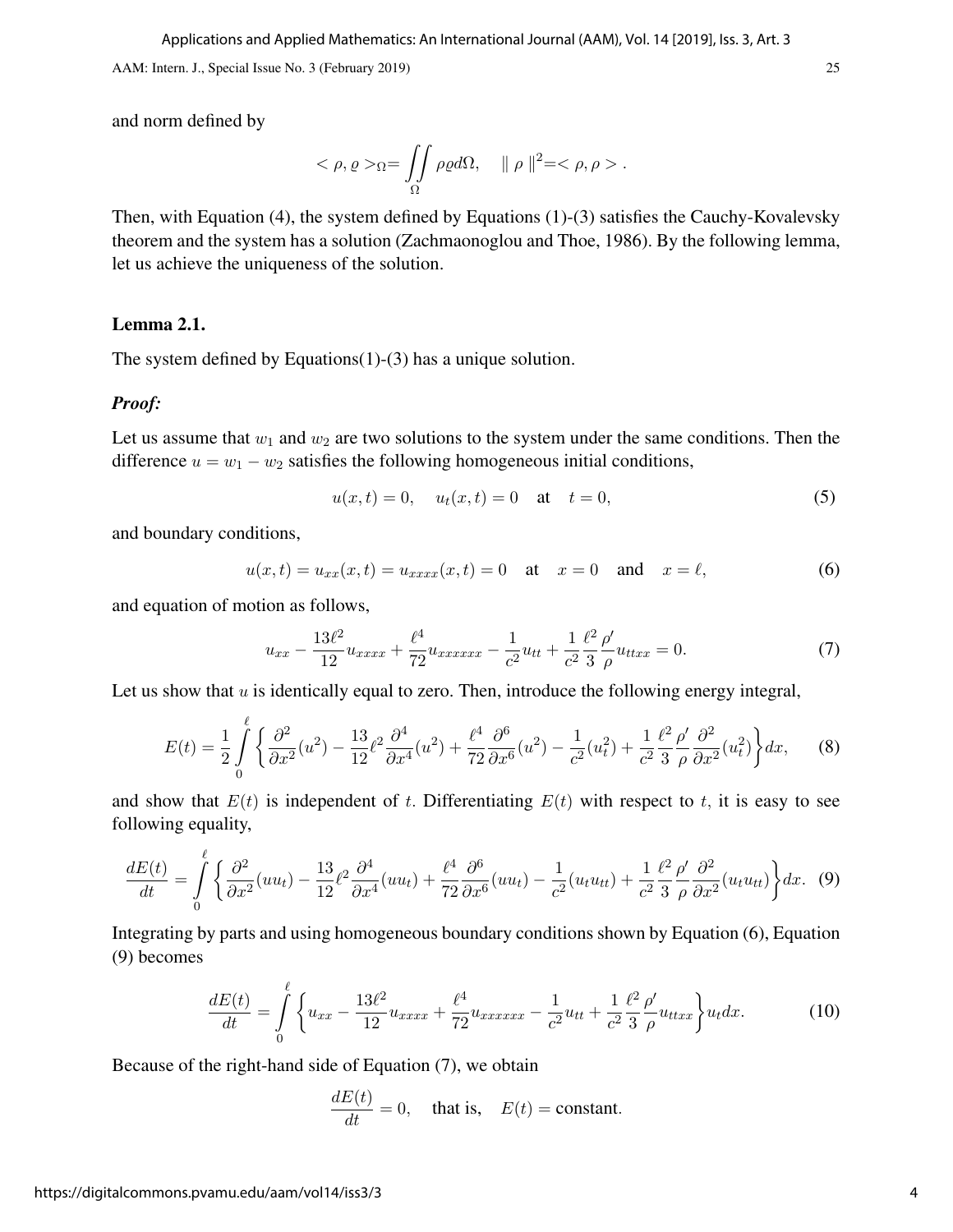and norm defined by

$$
<\rho, \rho>_{\Omega}=\iint_{\Omega}\rho \varrho d\Omega, \quad \|\rho\|^2=<\rho, \rho>.
$$

Then, with Equation (4), the system defined by Equations (1)-(3) satisfies the Cauchy-Kovalevsky theorem and the system has a solution (Zachmaonoglou and Thoe, 1986). By the following lemma, let us achieve the uniqueness of the solution.

#### Lemma 2.1.

The system defined by Equations(1)-(3) has a unique solution.

#### *Proof:*

Let us assume that  $w_1$  and  $w_2$  are two solutions to the system under the same conditions. Then the difference  $u = w_1 - w_2$  satisfies the following homogeneous initial conditions,

$$
u(x,t) = 0
$$
,  $u_t(x,t) = 0$  at  $t = 0$ , (5)

and boundary conditions,

$$
u(x,t) = u_{xx}(x,t) = u_{xxxx}(x,t) = 0
$$
 at  $x = 0$  and  $x = \ell$ , (6)

and equation of motion as follows,

 $\overline{a}$ 

$$
u_{xx} - \frac{13\ell^2}{12}u_{xxxx} + \frac{\ell^4}{72}u_{xxxxxx} - \frac{1}{c^2}u_{tt} + \frac{1}{c^2}\frac{\ell^2}{3}\frac{\rho'}{\rho}u_{ttxx} = 0.
$$
 (7)

Let us show that  $u$  is identically equal to zero. Then, introduce the following energy integral,

$$
E(t) = \frac{1}{2} \int_{0}^{t} \left\{ \frac{\partial^2}{\partial x^2} (u^2) - \frac{13}{12} \ell^2 \frac{\partial^4}{\partial x^4} (u^2) + \frac{\ell^4}{72} \frac{\partial^6}{\partial x^6} (u^2) - \frac{1}{c^2} (u_t^2) + \frac{1}{c^2} \frac{\ell^2}{3} \frac{\rho'}{\rho} \frac{\partial^2}{\partial x^2} (u_t^2) \right\} dx, \tag{8}
$$

and show that  $E(t)$  is independent of t. Differentiating  $E(t)$  with respect to t, it is easy to see following equality,

$$
\frac{dE(t)}{dt} = \int\limits_0^{\ell} \left\{ \frac{\partial^2}{\partial x^2} (uu_t) - \frac{13}{12} \ell^2 \frac{\partial^4}{\partial x^4} (uu_t) + \frac{\ell^4}{72} \frac{\partial^6}{\partial x^6} (uu_t) - \frac{1}{c^2} (u_t u_{tt}) + \frac{1}{c^2} \frac{\ell^2}{3} \frac{\rho'}{\rho} \frac{\partial^2}{\partial x^2} (u_t u_{tt}) \right\} dx. \tag{9}
$$

Integrating by parts and using homogeneous boundary conditions shown by Equation (6), Equation (9) becomes

$$
\frac{dE(t)}{dt} = \int_{0}^{\ell} \left\{ u_{xx} - \frac{13\ell^2}{12} u_{xxxx} + \frac{\ell^4}{72} u_{xxxxxx} - \frac{1}{c^2} u_{tt} + \frac{1}{c^2} \frac{\ell^2}{3} \frac{\rho'}{\rho} u_{ttxx} \right\} u_t dx.
$$
 (10)

Because of the right-hand side of Equation (7), we obtain

$$
\frac{dE(t)}{dt} = 0, \quad \text{that is,} \quad E(t) = \text{constant}.
$$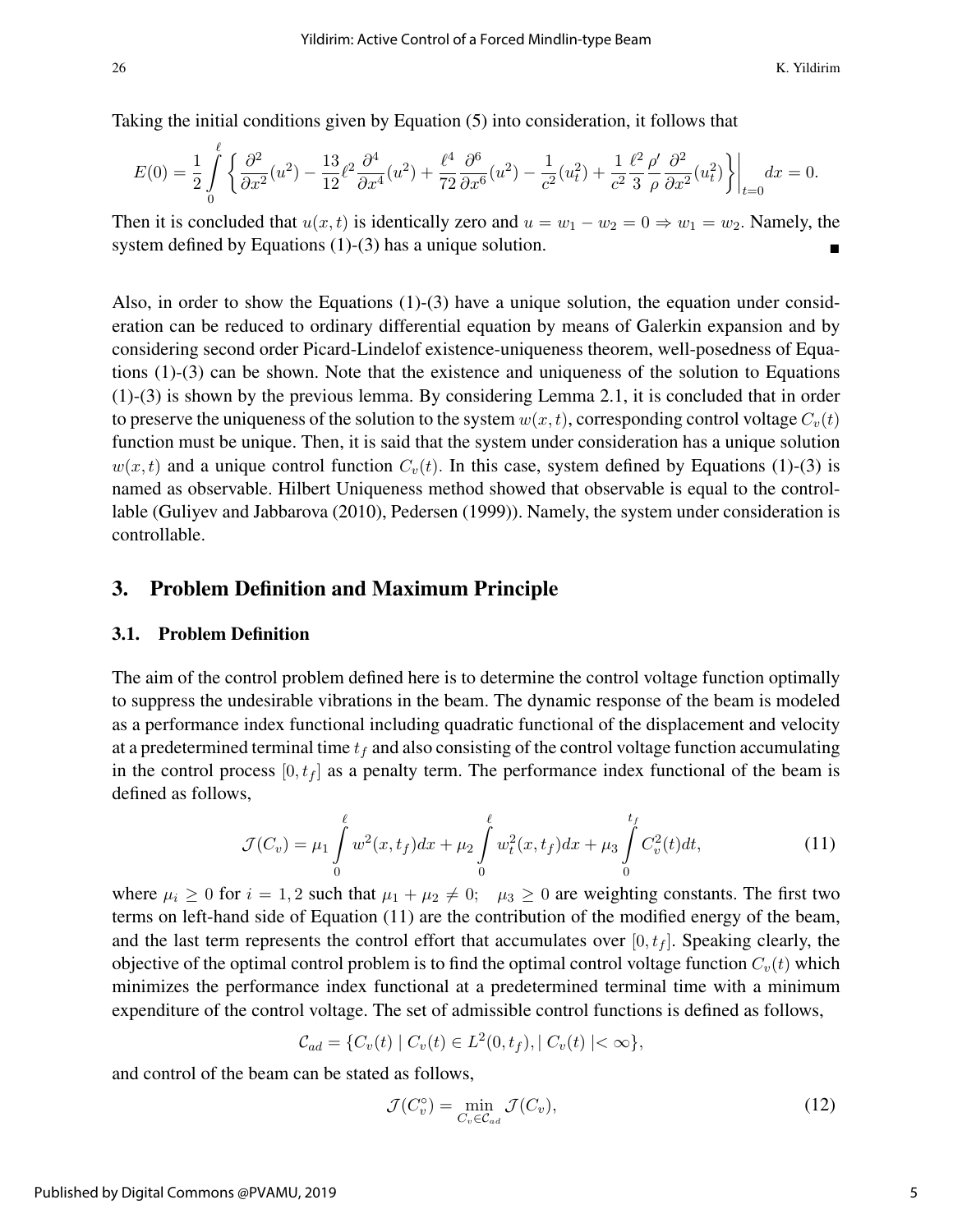Taking the initial conditions given by Equation (5) into consideration, it follows that

$$
E(0) = \frac{1}{2} \int_{0}^{\ell} \left\{ \frac{\partial^2}{\partial x^2} (u^2) - \frac{13}{12} \ell^2 \frac{\partial^4}{\partial x^4} (u^2) + \frac{\ell^4}{72} \frac{\partial^6}{\partial x^6} (u^2) - \frac{1}{c^2} (u_t^2) + \frac{1}{c^2} \frac{\ell^2}{3} \frac{\rho'}{\rho} \frac{\partial^2}{\partial x^2} (u_t^2) \right\} \bigg|_{t=0} dx = 0.
$$

Then it is concluded that  $u(x, t)$  is identically zero and  $u = w_1 - w_2 = 0 \Rightarrow w_1 = w_2$ . Namely, the system defined by Equations (1)-(3) has a unique solution.

Also, in order to show the Equations  $(1)-(3)$  have a unique solution, the equation under consideration can be reduced to ordinary differential equation by means of Galerkin expansion and by considering second order Picard-Lindelof existence-uniqueness theorem, well-posedness of Equations (1)-(3) can be shown. Note that the existence and uniqueness of the solution to Equations (1)-(3) is shown by the previous lemma. By considering Lemma 2.1, it is concluded that in order to preserve the uniqueness of the solution to the system  $w(x, t)$ , corresponding control voltage  $C_v(t)$ function must be unique. Then, it is said that the system under consideration has a unique solution  $w(x, t)$  and a unique control function  $C_v(t)$ . In this case, system defined by Equations (1)-(3) is named as observable. Hilbert Uniqueness method showed that observable is equal to the controllable (Guliyev and Jabbarova (2010), Pedersen (1999)). Namely, the system under consideration is controllable.

## 3. Problem Definition and Maximum Principle

#### 3.1. Problem Definition

The aim of the control problem defined here is to determine the control voltage function optimally to suppress the undesirable vibrations in the beam. The dynamic response of the beam is modeled as a performance index functional including quadratic functional of the displacement and velocity at a predetermined terminal time  $t_f$  and also consisting of the control voltage function accumulating in the control process  $[0, t_f]$  as a penalty term. The performance index functional of the beam is defined as follows,

$$
\mathcal{J}(C_v) = \mu_1 \int_0^{\ell} w^2(x, t_f) dx + \mu_2 \int_0^{\ell} w_t^2(x, t_f) dx + \mu_3 \int_0^{t_f} C_v^2(t) dt,
$$
\n(11)

where  $\mu_i \geq 0$  for  $i = 1, 2$  such that  $\mu_1 + \mu_2 \neq 0$ ;  $\mu_3 \geq 0$  are weighting constants. The first two terms on left-hand side of Equation (11) are the contribution of the modified energy of the beam, and the last term represents the control effort that accumulates over  $[0, t<sub>f</sub>]$ . Speaking clearly, the objective of the optimal control problem is to find the optimal control voltage function  $C_v(t)$  which minimizes the performance index functional at a predetermined terminal time with a minimum expenditure of the control voltage. The set of admissible control functions is defined as follows,

$$
C_{ad} = \{C_v(t) \mid C_v(t) \in L^2(0, t_f), \mid C_v(t) \mid < \infty\},\
$$

and control of the beam can be stated as follows,

$$
\mathcal{J}(C_v^{\circ}) = \min_{C_v \in \mathcal{C}_{ad}} \mathcal{J}(C_v),\tag{12}
$$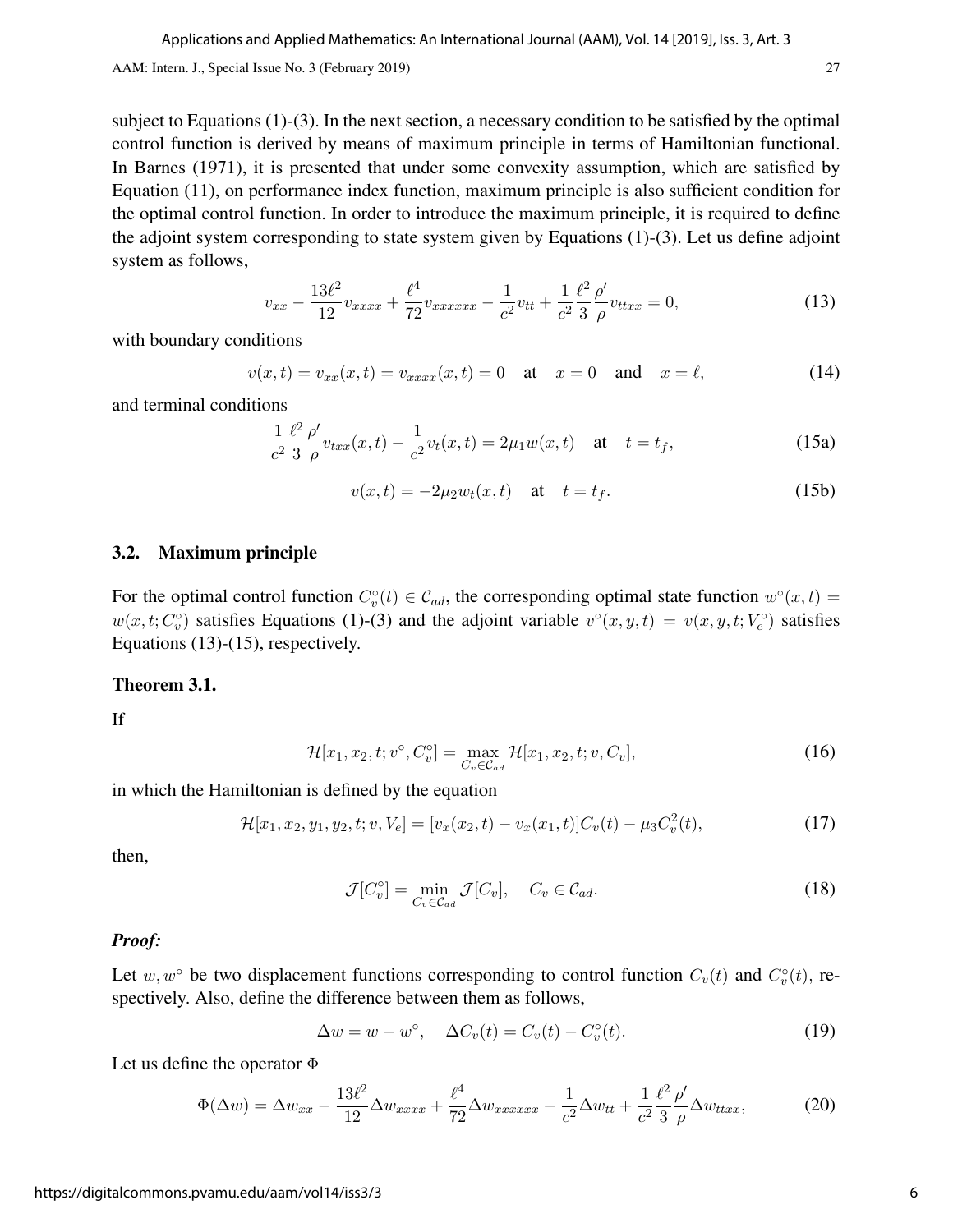subject to Equations (1)-(3). In the next section, a necessary condition to be satisfied by the optimal control function is derived by means of maximum principle in terms of Hamiltonian functional. In Barnes (1971), it is presented that under some convexity assumption, which are satisfied by Equation (11), on performance index function, maximum principle is also sufficient condition for the optimal control function. In order to introduce the maximum principle, it is required to define the adjoint system corresponding to state system given by Equations (1)-(3). Let us define adjoint system as follows,

$$
v_{xx} - \frac{13\ell^2}{12}v_{xxxx} + \frac{\ell^4}{72}v_{xxxxxx} - \frac{1}{c^2}v_{tt} + \frac{1}{c^2}\frac{\ell^2}{3}\frac{\rho'}{\rho}v_{txx} = 0,\tag{13}
$$

with boundary conditions

$$
v(x,t) = v_{xx}(x,t) = v_{xxxx}(x,t) = 0
$$
 at  $x = 0$  and  $x = \ell$ , (14)

and terminal conditions

$$
\frac{1}{c^2} \frac{\ell^2}{3} \frac{\rho'}{\rho} v_{txx}(x,t) - \frac{1}{c^2} v_t(x,t) = 2\mu_1 w(x,t) \quad \text{at} \quad t = t_f,
$$
\n(15a)

$$
v(x,t) = -2\mu_2 w_t(x,t) \quad \text{at} \quad t = t_f. \tag{15b}
$$

#### 3.2. Maximum principle

For the optimal control function  $C_v^{\circ}(t) \in C_{ad}$ , the corresponding optimal state function  $w^{\circ}(x,t) =$  $w(x, t; C_v^{\circ})$  satisfies Equations (1)-(3) and the adjoint variable  $v^{\circ}(x, y, t) = v(x, y, t; V_e^{\circ})$  satisfies Equations (13)-(15), respectively.

#### Theorem 3.1.

If

$$
\mathcal{H}[x_1, x_2, t; v^\circ, C_v^\circ] = \max_{C_v \in \mathcal{C}_{ad}} \mathcal{H}[x_1, x_2, t; v, C_v],\tag{16}
$$

in which the Hamiltonian is defined by the equation

$$
\mathcal{H}[x_1, x_2, y_1, y_2, t; v, V_e] = [v_x(x_2, t) - v_x(x_1, t)]C_v(t) - \mu_3 C_v^2(t), \qquad (17)
$$

then,

$$
\mathcal{J}[C_v^\circ] = \min_{C_v \in \mathcal{C}_{ad}} \mathcal{J}[C_v], \quad C_v \in \mathcal{C}_{ad}.
$$
 (18)

#### *Proof:*

Let  $w, w^{\circ}$  be two displacement functions corresponding to control function  $C_v(t)$  and  $C_v^{\circ}(t)$ , respectively. Also, define the difference between them as follows,

$$
\Delta w = w - w^{\circ}, \quad \Delta C_v(t) = C_v(t) - C_v^{\circ}(t). \tag{19}
$$

Let us define the operator  $\Phi$ 

$$
\Phi(\Delta w) = \Delta w_{xx} - \frac{13\ell^2}{12} \Delta w_{xxxx} + \frac{\ell^4}{72} \Delta w_{xxxxxx} - \frac{1}{c^2} \Delta w_{tt} + \frac{1}{c^2} \frac{\ell^2}{3} \frac{\rho'}{\rho} \Delta w_{ttxx},
$$
(20)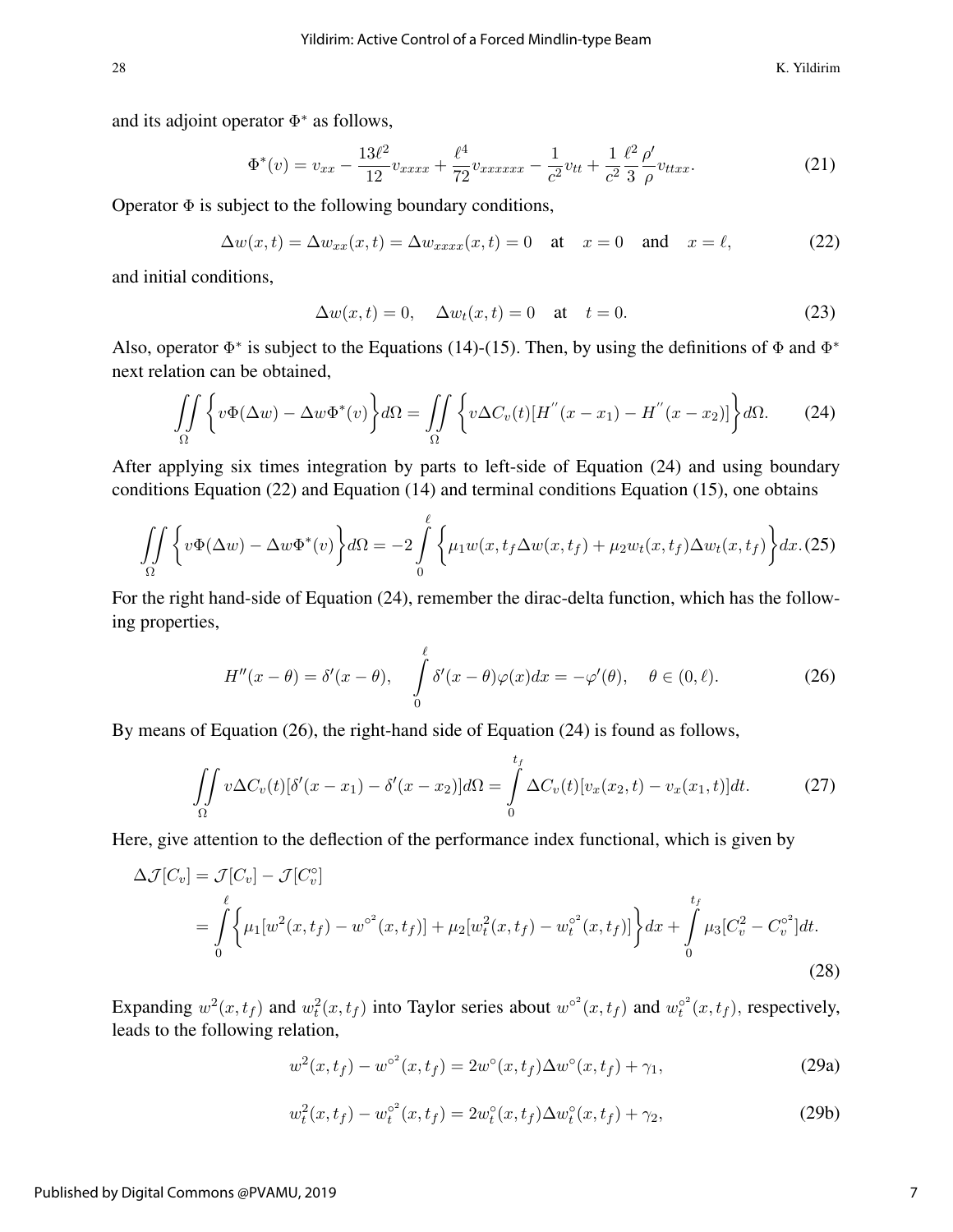28 K. Yildirim

and its adjoint operator  $\Phi^*$  as follows,

$$
\Phi^*(v) = v_{xx} - \frac{13\ell^2}{12}v_{xxxx} + \frac{\ell^4}{72}v_{xxxxxx} - \frac{1}{c^2}v_{tt} + \frac{1}{c^2}\frac{\ell^2}{3}\frac{\rho'}{\rho}v_{ttxx}.
$$
 (21)

Operator  $\Phi$  is subject to the following boundary conditions,

$$
\Delta w(x,t) = \Delta w_{xx}(x,t) = \Delta w_{xxxx}(x,t) = 0 \quad \text{at} \quad x = 0 \quad \text{and} \quad x = \ell,
$$
 (22)

and initial conditions,

$$
\Delta w(x,t) = 0, \quad \Delta w_t(x,t) = 0 \quad \text{at} \quad t = 0. \tag{23}
$$

Also, operator  $\Phi^*$  is subject to the Equations (14)-(15). Then, by using the definitions of  $\Phi$  and  $\Phi^*$ next relation can be obtained,

$$
\iint\limits_{\Omega} \left\{ v\Phi(\Delta w) - \Delta w \Phi^*(v) \right\} d\Omega = \iint\limits_{\Omega} \left\{ v\Delta C_v(t) [H^{''}(x - x_1) - H^{''}(x - x_2)] \right\} d\Omega. \tag{24}
$$

After applying six times integration by parts to left-side of Equation (24) and using boundary conditions Equation (22) and Equation (14) and terminal conditions Equation (15), one obtains

$$
\iint_{\Omega} \left\{ v\Phi(\Delta w) - \Delta w \Phi^*(v) \right\} d\Omega = -2 \int_{0}^{\ell} \left\{ \mu_1 w(x, t_f \Delta w(x, t_f) + \mu_2 w_t(x, t_f) \Delta w_t(x, t_f) \right\} dx. (25)
$$

For the right hand-side of Equation (24), remember the dirac-delta function, which has the following properties,

$$
H''(x - \theta) = \delta'(x - \theta), \quad \int_{0}^{\ell} \delta'(x - \theta) \varphi(x) dx = -\varphi'(\theta), \quad \theta \in (0, \ell).
$$
 (26)

By means of Equation (26), the right-hand side of Equation (24) is found as follows,

$$
\iint\limits_{\Omega} v \Delta C_v(t) [\delta'(x - x_1) - \delta'(x - x_2)] d\Omega = \int\limits_0^{t_f} \Delta C_v(t) [v_x(x_2, t) - v_x(x_1, t)] dt.
$$
 (27)

Here, give attention to the deflection of the performance index functional, which is given by

$$
\Delta \mathcal{J}[C_v] = \mathcal{J}[C_v] - \mathcal{J}[C_v^{\circ}]
$$
  
=  $\int_0^{\ell} \left\{ \mu_1[w^2(x, t_f) - w^{\circ^2}(x, t_f)] + \mu_2[w_t^2(x, t_f) - w_t^{\circ^2}(x, t_f)] \right\} dx + \int_0^{t_f} \mu_3[C_v^2 - C_v^{\circ^2}] dt.$  (28)

Expanding  $w^2(x,t_f)$  and  $w_t^2(x,t_f)$  into Taylor series about  $w^{\circ^2}(x,t_f)$  and  $w_t^{\circ^2}(x,t_f)$ , respectively, leads to the following relation,

$$
w^{2}(x,t_{f}) - w^{\circ^{2}}(x,t_{f}) = 2w^{\circ}(x,t_{f})\Delta w^{\circ}(x,t_{f}) + \gamma_{1},
$$
\n(29a)

$$
w_t^2(x, t_f) - w_t^{\circ^2}(x, t_f) = 2w_t^{\circ}(x, t_f)\Delta w_t^{\circ}(x, t_f) + \gamma_2,
$$
\n(29b)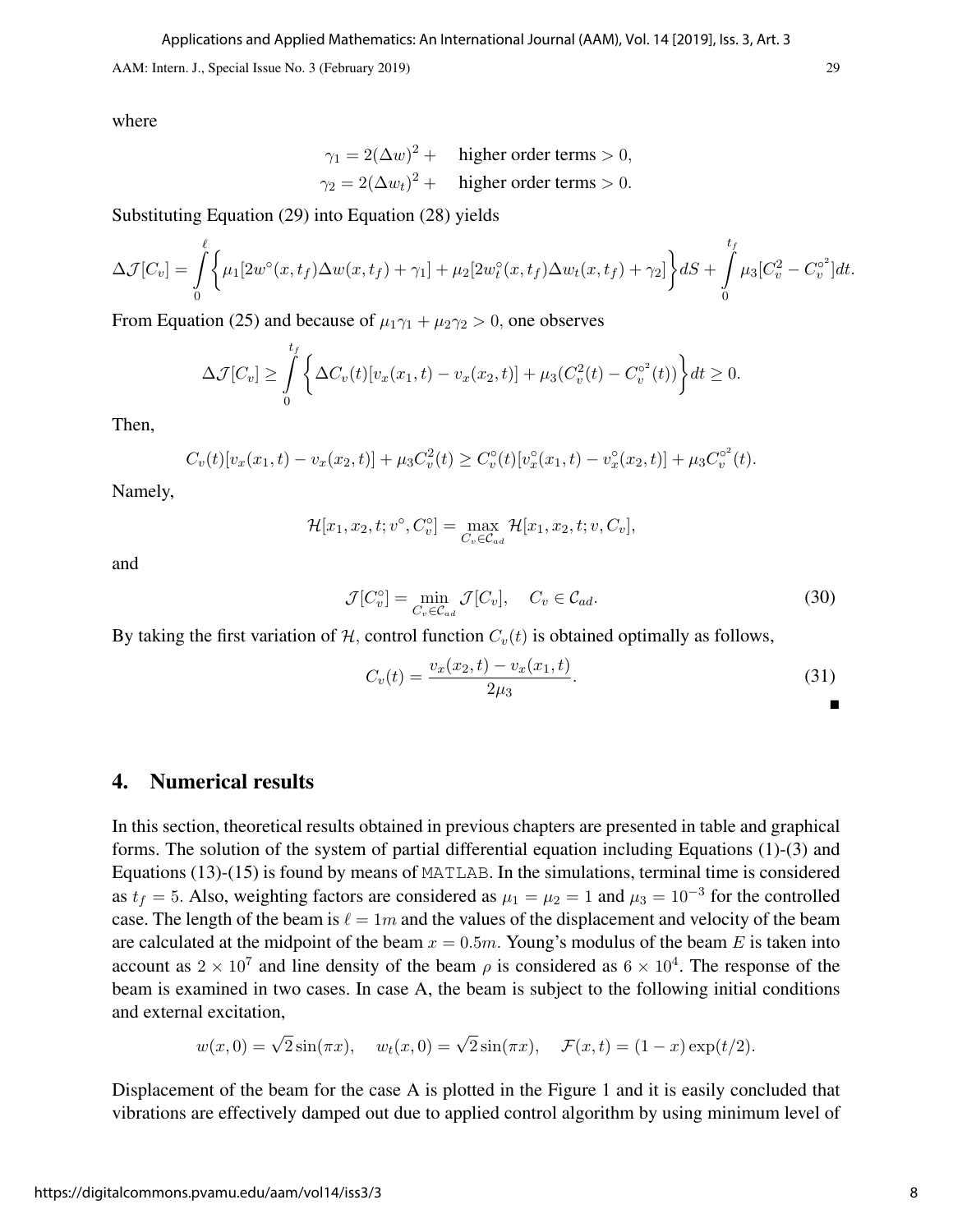where

$$
\gamma_1 = 2(\Delta w)^2 + \text{higher order terms} > 0,
$$
  

$$
\gamma_2 = 2(\Delta w_t)^2 + \text{higher order terms} > 0.
$$

Substituting Equation (29) into Equation (28) yields

$$
\Delta \mathcal{J}[C_v] = \int_{0}^{\ell} \left\{ \mu_1[2w^{\circ}(x, t_f) \Delta w(x, t_f) + \gamma_1] + \mu_2[2w_t^{\circ}(x, t_f) \Delta w_t(x, t_f) + \gamma_2] \right\} dS + \int_{0}^{t_f} \mu_3[C_v^2 - C_v^2] dt.
$$

From Equation (25) and because of  $\mu_1\gamma_1 + \mu_2\gamma_2 > 0$ , one observes

$$
\Delta \mathcal{J}[C_v] \geq \int_{0}^{t_f} \left\{ \Delta C_v(t)[v_x(x_1, t) - v_x(x_2, t)] + \mu_3(C_v^2(t) - C_v^{\circ^2}(t)) \right\} dt \geq 0.
$$

Then,

$$
C_v(t)[v_x(x_1,t)-v_x(x_2,t)]+\mu_3C_v^2(t)\geq C_v^{\circ}(t)[v_x^{\circ}(x_1,t)-v_x^{\circ}(x_2,t)]+\mu_3C_v^{\circ^2}(t).
$$

Namely,

$$
\mathcal{H}[x_1, x_2, t; v^\circ, C_v^\circ] = \max_{C_v \in \mathcal{C}_{ad}} \mathcal{H}[x_1, x_2, t; v, C_v],
$$

and

$$
\mathcal{J}[C_v^\circ] = \min_{C_v \in \mathcal{C}_{ad}} \mathcal{J}[C_v], \quad C_v \in \mathcal{C}_{ad}.
$$
\n(30)

By taking the first variation of  $H$ , control function  $C_v(t)$  is obtained optimally as follows,

$$
C_v(t) = \frac{v_x(x_2, t) - v_x(x_1, t)}{2\mu_3}.
$$
\n(31)

### 4. Numerical results

In this section, theoretical results obtained in previous chapters are presented in table and graphical forms. The solution of the system of partial differential equation including Equations (1)-(3) and Equations (13)-(15) is found by means of MATLAB. In the simulations, terminal time is considered as  $t_f = 5$ . Also, weighting factors are considered as  $\mu_1 = \mu_2 = 1$  and  $\mu_3 = 10^{-3}$  for the controlled case. The length of the beam is  $\ell = 1m$  and the values of the displacement and velocity of the beam are calculated at the midpoint of the beam  $x = 0.5m$ . Young's modulus of the beam E is taken into account as  $2 \times 10^7$  and line density of the beam  $\rho$  is considered as  $6 \times 10^4$ . The response of the beam is examined in two cases. In case A, the beam is subject to the following initial conditions and external excitation,

$$
w(x, 0) = \sqrt{2}\sin(\pi x), \quad w_t(x, 0) = \sqrt{2}\sin(\pi x), \quad \mathcal{F}(x, t) = (1 - x)\exp(t/2).
$$

Displacement of the beam for the case A is plotted in the Figure 1 and it is easily concluded that vibrations are effectively damped out due to applied control algorithm by using minimum level of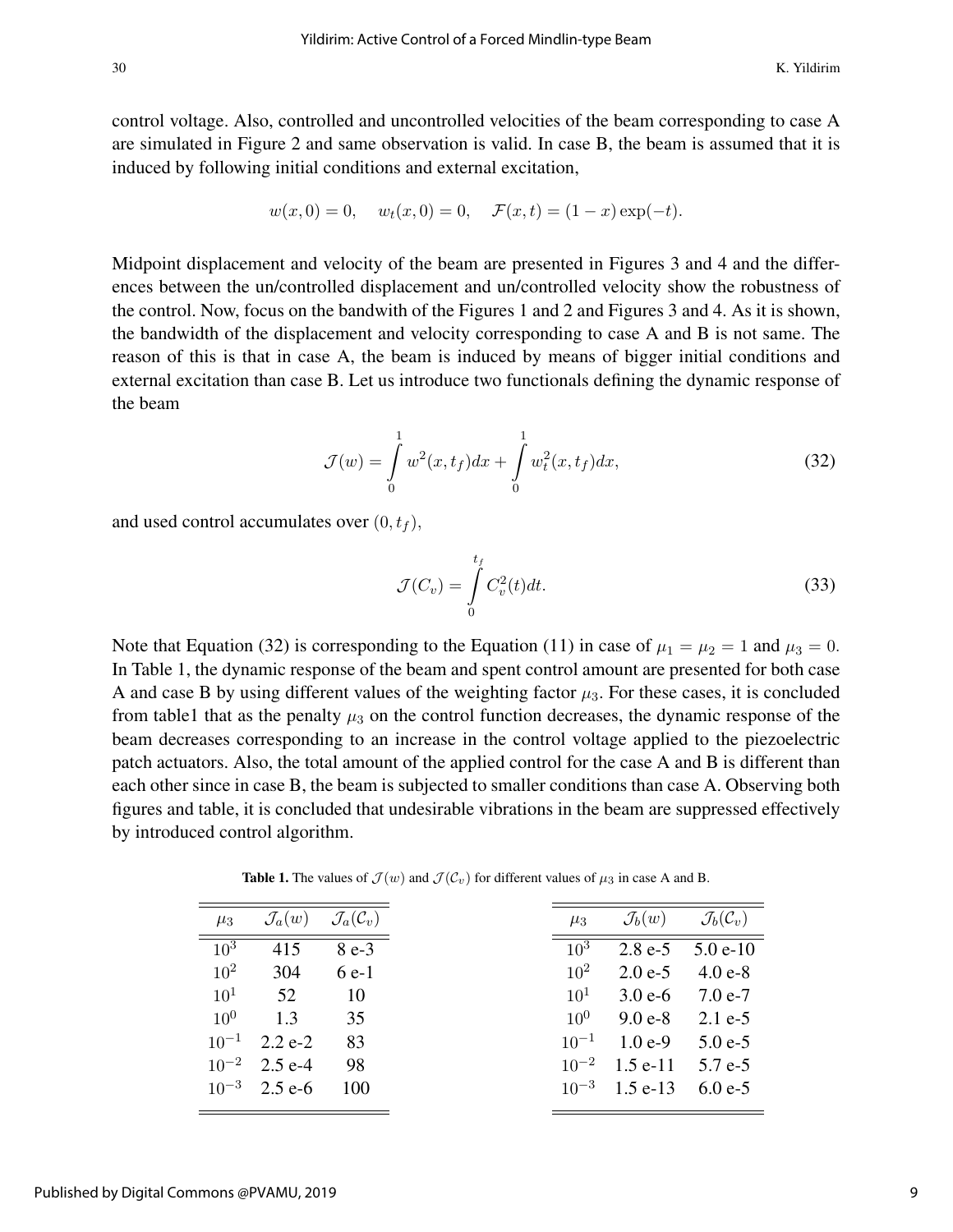control voltage. Also, controlled and uncontrolled velocities of the beam corresponding to case A are simulated in Figure 2 and same observation is valid. In case B, the beam is assumed that it is induced by following initial conditions and external excitation,

$$
w(x, 0) = 0
$$
,  $w_t(x, 0) = 0$ ,  $\mathcal{F}(x, t) = (1 - x) \exp(-t)$ .

Midpoint displacement and velocity of the beam are presented in Figures 3 and 4 and the differences between the un/controlled displacement and un/controlled velocity show the robustness of the control. Now, focus on the bandwith of the Figures 1 and 2 and Figures 3 and 4. As it is shown, the bandwidth of the displacement and velocity corresponding to case A and B is not same. The reason of this is that in case A, the beam is induced by means of bigger initial conditions and external excitation than case B. Let us introduce two functionals defining the dynamic response of the beam

$$
\mathcal{J}(w) = \int_{0}^{1} w^2(x, t_f) dx + \int_{0}^{1} w_t^2(x, t_f) dx,
$$
\n(32)

and used control accumulates over  $(0, t_f)$ ,

$$
\mathcal{J}(C_v) = \int\limits_0^{t_f} C_v^2(t)dt.
$$
\n(33)

Note that Equation (32) is corresponding to the Equation (11) in case of  $\mu_1 = \mu_2 = 1$  and  $\mu_3 = 0$ . In Table 1, the dynamic response of the beam and spent control amount are presented for both case A and case B by using different values of the weighting factor  $\mu_3$ . For these cases, it is concluded from table1 that as the penalty  $\mu_3$  on the control function decreases, the dynamic response of the beam decreases corresponding to an increase in the control voltage applied to the piezoelectric patch actuators. Also, the total amount of the applied control for the case A and B is different than each other since in case B, the beam is subjected to smaller conditions than case A. Observing both figures and table, it is concluded that undesirable vibrations in the beam are suppressed effectively by introduced control algorithm.

**Table 1.** The values of  $\mathcal{J}(w)$  and  $\mathcal{J}(\mathcal{C}_v)$  for different values of  $\mu_3$  in case A and B.

| $\mu_3$           | $\mathcal{J}_a(w)$ | $\mathcal{J}_a(\mathcal{C}_v)$ |
|-------------------|--------------------|--------------------------------|
| $\overline{10^3}$ | 415                | $8e-3$                         |
| $10^{2}$          | 304                | $6e-1$                         |
| 10 <sup>1</sup>   | 52                 | 10                             |
| $10^{0}$          | 1.3                | 35                             |
| $10^{-1}$         | $2.2 e-2$          | 83                             |
| $10^{-2}$         | $2.5 e-4$          | 98                             |
|                   | $10^{-3}$ 2.5 e-6  | 100                            |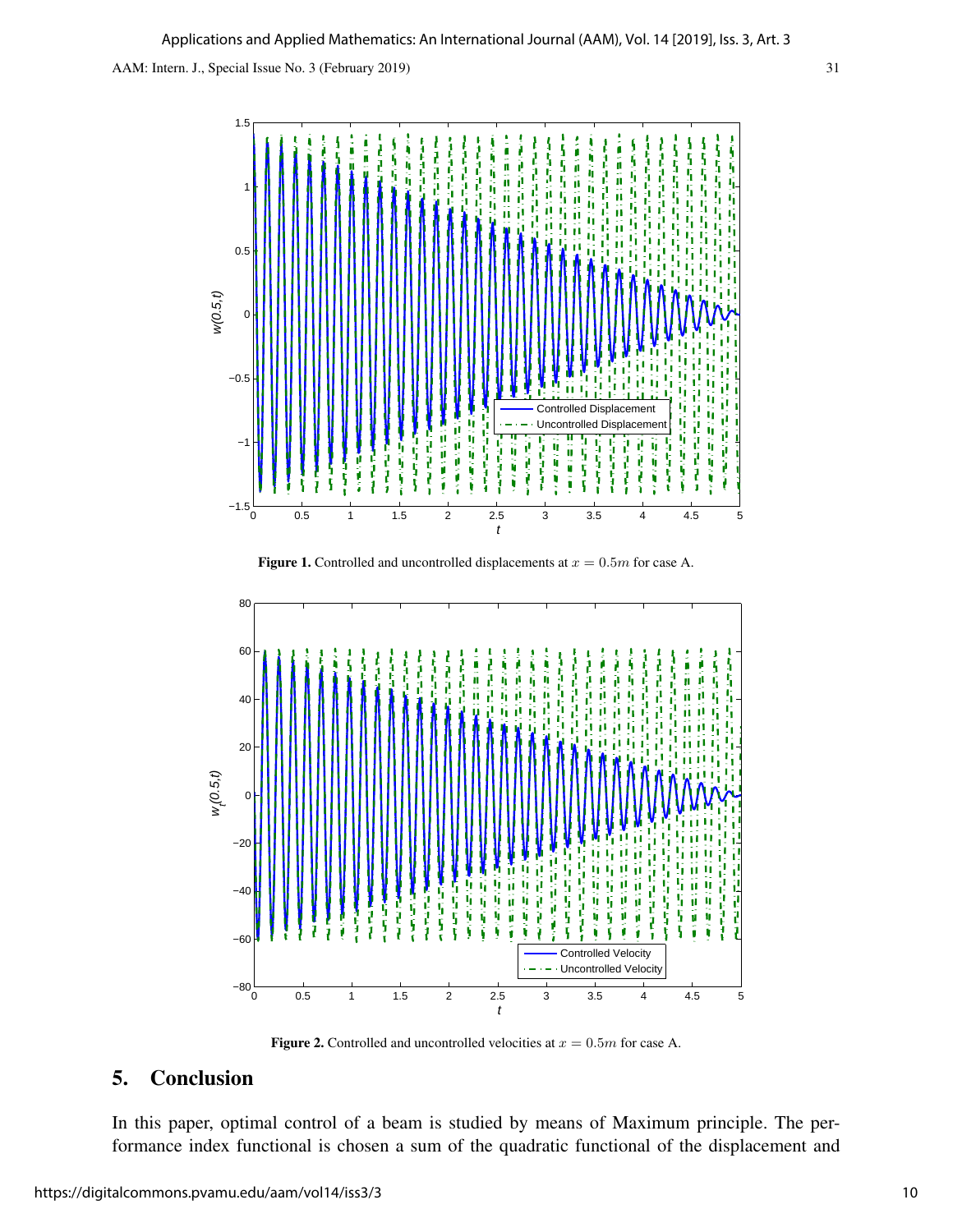





Figure 2. Controlled and uncontrolled velocities at  $x = 0.5m$  for case A.

## 5. Conclusion

In this paper, optimal control of a beam is studied by means of Maximum principle. The performance index functional is chosen a sum of the quadratic functional of the displacement and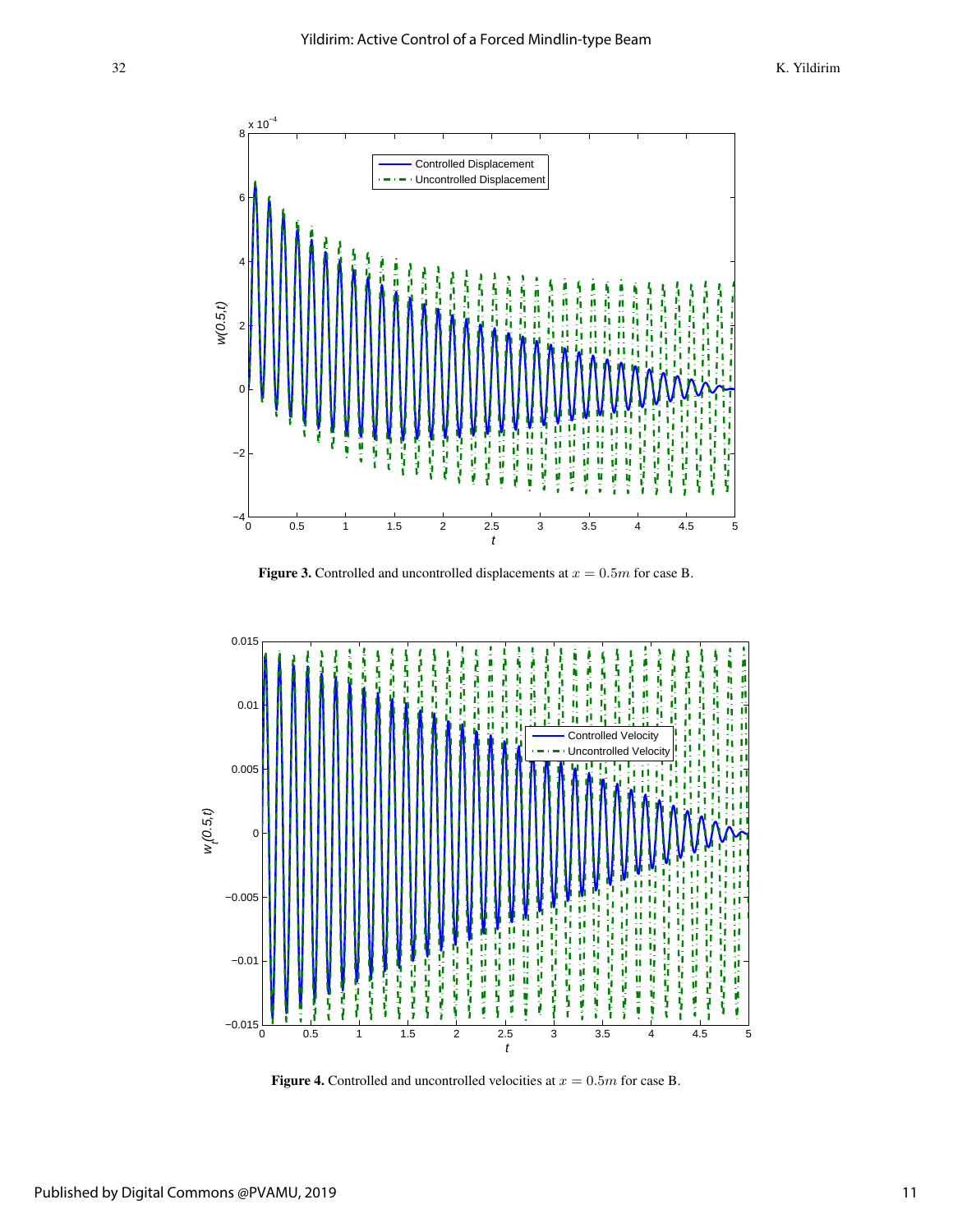32 K. Yildirim



Figure 3. Controlled and uncontrolled displacements at  $x = 0.5m$  for case B.



Figure 4. Controlled and uncontrolled velocities at  $x = 0.5m$  for case B.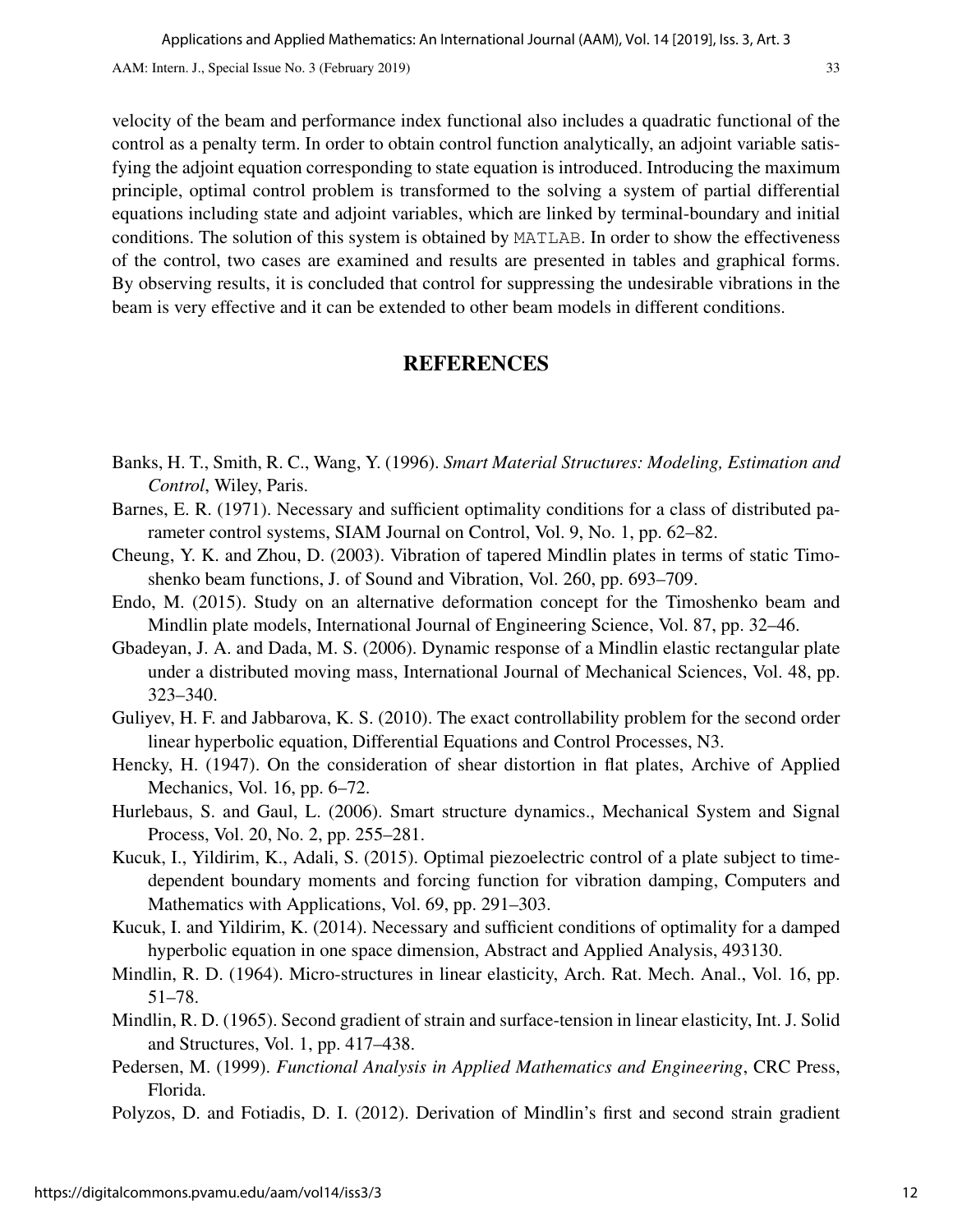velocity of the beam and performance index functional also includes a quadratic functional of the control as a penalty term. In order to obtain control function analytically, an adjoint variable satisfying the adjoint equation corresponding to state equation is introduced. Introducing the maximum principle, optimal control problem is transformed to the solving a system of partial differential equations including state and adjoint variables, which are linked by terminal-boundary and initial conditions. The solution of this system is obtained by MATLAB. In order to show the effectiveness of the control, two cases are examined and results are presented in tables and graphical forms. By observing results, it is concluded that control for suppressing the undesirable vibrations in the beam is very effective and it can be extended to other beam models in different conditions.

## **REFERENCES**

- Banks, H. T., Smith, R. C., Wang, Y. (1996). *Smart Material Structures: Modeling, Estimation and Control*, Wiley, Paris.
- Barnes, E. R. (1971). Necessary and sufficient optimality conditions for a class of distributed parameter control systems, SIAM Journal on Control, Vol. 9, No. 1, pp. 62–82.
- Cheung, Y. K. and Zhou, D. (2003). Vibration of tapered Mindlin plates in terms of static Timoshenko beam functions, J. of Sound and Vibration, Vol. 260, pp. 693–709.
- Endo, M. (2015). Study on an alternative deformation concept for the Timoshenko beam and Mindlin plate models, International Journal of Engineering Science, Vol. 87, pp. 32–46.
- Gbadeyan, J. A. and Dada, M. S. (2006). Dynamic response of a Mindlin elastic rectangular plate under a distributed moving mass, International Journal of Mechanical Sciences, Vol. 48, pp. 323–340.
- Guliyev, H. F. and Jabbarova, K. S. (2010). The exact controllability problem for the second order linear hyperbolic equation, Differential Equations and Control Processes, N3.
- Hencky, H. (1947). On the consideration of shear distortion in flat plates, Archive of Applied Mechanics, Vol. 16, pp. 6–72.
- Hurlebaus, S. and Gaul, L. (2006). Smart structure dynamics., Mechanical System and Signal Process, Vol. 20, No. 2, pp. 255–281.
- Kucuk, I., Yildirim, K., Adali, S. (2015). Optimal piezoelectric control of a plate subject to timedependent boundary moments and forcing function for vibration damping, Computers and Mathematics with Applications, Vol. 69, pp. 291–303.
- Kucuk, I. and Yildirim, K. (2014). Necessary and sufficient conditions of optimality for a damped hyperbolic equation in one space dimension, Abstract and Applied Analysis, 493130.
- Mindlin, R. D. (1964). Micro-structures in linear elasticity, Arch. Rat. Mech. Anal., Vol. 16, pp. 51–78.
- Mindlin, R. D. (1965). Second gradient of strain and surface-tension in linear elasticity, Int. J. Solid and Structures, Vol. 1, pp. 417–438.
- Pedersen, M. (1999). *Functional Analysis in Applied Mathematics and Engineering*, CRC Press, Florida.
- Polyzos, D. and Fotiadis, D. I. (2012). Derivation of Mindlin's first and second strain gradient